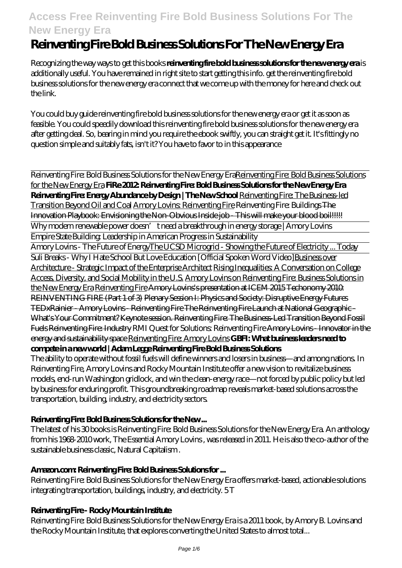# **Reinventing Fire Bold Business Solutions For The New Energy Era**

Recognizing the way ways to get this books **reinventing fire bold business solutions for the new energy era** is additionally useful. You have remained in right site to start getting this info. get the reinventing fire bold business solutions for the new energy era connect that we come up with the money for here and check out the link.

You could buy guide reinventing fire bold business solutions for the new energy era or get it as soon as feasible. You could speedily download this reinventing fire bold business solutions for the new energy era after getting deal. So, bearing in mind you require the ebook swiftly, you can straight get it. It's fittingly no question simple and suitably fats, isn't it? You have to favor to in this appearance

Reinventing Fire: Bold Business Solutions for the New Energy EraReinventing Fire: Bold Business Solutions for the New Energy Era **FiRe 2012: Reinventing Fire: Bold Business Solutions for the New Energy Era Reinventing Fire: Energy Abundance by Design | The New School** Reinventing Fire: The Business-led Transition Beyond Oil and Coal Amory Lovins: Reinventing Fire Reinventing Fire: Buildings The Innovation Playbook: Envisioning the Non-Obvious Inside job - This will make your blood boil!!!!! Why modern renewable power doesn' t need a breakthrough in energy storage | Amory Lovins Empire State Building: Leadership in American Progress in Sustainability

Amory Lovins - The Future of EnergyThe UCSD Microgrid - Showing the Future of Electricity ... Today Suli Breaks - Why I Hate School But Love Education [Official Spoken Word Video] Business over Architecture - Strategic Impact of the Enterprise Architect Rising Inequalities: A Conversation on College Access, Diversity, and Social Mobility in the U.S. Amory Lovins on Reinventing Fire: Business Solutions in the New Energy Era Reinventing Fire Amory Lovins's presentation at ICEM 2015 Techonomy 2010: REINVENTING FIRE (Part 1 of 3) Plenary Session I: Physics and Society: Disruptive Energy Futures TEDxRainier - Amory Lovins - Reinventing Fire The Reinventing Fire Launch at National Geographic - What's Your Commitment? Keynote session. Reinventing Fire: The Business-Led Transition Beyond Fossil Fuels Reinventing Fire: Industry *RMI Quest for Solutions: Reinventing Fire* Amory Lovins - Innovator in the energy and sustainability space Reinventing Fire: Amory Lovins **GBFI: What business leaders need to compete in a new world | Adam Legge Reinventing Fire Bold Business Solutions**

The ability to operate without fossil fuels will define winners and losers in business—and among nations. In Reinventing Fire, Amory Lovins and Rocky Mountain Institute offer a new vision to revitalize business models, end-run Washington gridlock, and win the clean-energy race―not forced by public policy but led by business for enduring profit. This groundbreaking roadmap reveals market-based solutions across the transportation, building, industry, and electricity sectors.

# **Reinventing Fire: Bold Business Solutions for the New ...**

The latest of his 30 books is Reinventing Fire: Bold Business Solutions for the New Energy Era. An anthology from his 1968-2010 work, The Essential Amory Lovins , was released in 2011. He is also the co-author of the sustainable business classic, Natural Capitalism .

# **Amazon.com: Reinventing Fire: Bold Business Solutions for ...**

Reinventing Fire: Bold Business Solutions for the New Energy Era offers market-based, actionable solutions integrating transportation, buildings, industry, and electricity. 5 T

# **Reinventing Fire - Rocky Mountain Institute**

Reinventing Fire: Bold Business Solutions for the New Energy Era is a 2011 book, by Amory B. Lovins and the Rocky Mountain Institute, that explores converting the United States to almost total...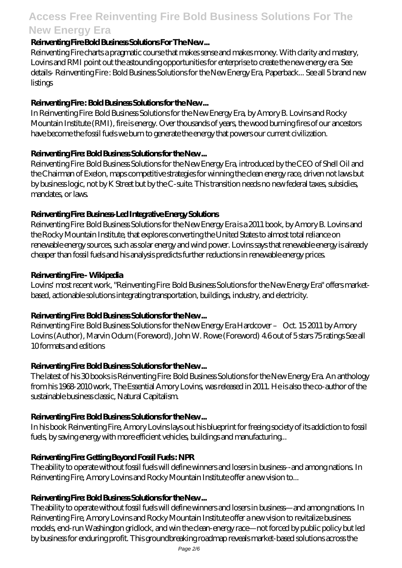#### **Reinventing Fire Bold Business Solutions For The New ...**

Reinventing Fire charts a pragmatic course that makes sense and makes money. With clarity and mastery, Lovins and RMI point out the astounding opportunities for enterprise to create the new energy era. See details- Reinventing Fire : Bold Business Solutions for the New Energy Era, Paperback... See all 5 brand new listings

# **Reinventing Fire : Bold Business Solutions for the New ...**

In Reinventing Fire: Bold Business Solutions for the New Energy Era, by Amory B. Lovins and Rocky Mountain Institute (RMI), fire is energy. Over thousands of years, the wood burning fires of our ancestors have become the fossil fuels we burn to generate the energy that powers our current civilization.

#### **Reinventing Fire: Bold Business Solutions for the New ...**

Reinventing Fire: Bold Business Solutions for the New Energy Era, introduced by the CEO of Shell Oil and the Chairman of Exelon, maps competitive strategies for winning the clean energy race, driven not laws but by business logic, not by K Street but by the C-suite. This transition needs no new federal taxes, subsidies, mandates, or laws.

#### **Reinventing Fire: Business-Led Integrative Energy Solutions**

Reinventing Fire: Bold Business Solutions for the New Energy Era is a 2011 book, by Amory B. Lovins and the Rocky Mountain Institute, that explores converting the United States to almost total reliance on renewable energy sources, such as solar energy and wind power. Lovins says that renewable energy is already cheaper than fossil fuels and his analysis predicts further reductions in renewable energy prices.

#### **Reinventing Fire - Wikipedia**

Lovins' most recent work, "Reinventing Fire: Bold Business Solutions for the New Energy Era" offers marketbased, actionable solutions integrating transportation, buildings, industry, and electricity.

# **Reinventing Fire: Bold Business Solutions for the New ...**

Reinventing Fire: Bold Business Solutions for the New Energy Era Hardcover – Oct. 15 2011 by Amory Lovins (Author), Marvin Odum (Foreword), John W. Rowe (Foreword) 4.6 out of 5 stars 75 ratings See all 10 formats and editions

#### **Reinventing Fire: Bold Business Solutions for the New ...**

The latest of his 30 books is Reinventing Fire: Bold Business Solutions for the New Energy Era. An anthology from his 1968-2010 work, The Essential Amory Lovins, was released in 2011. He is also the co-author of the sustainable business classic, Natural Capitalism.

# **Reinventing Fire: Bold Business Solutions for the New ...**

In his book Reinventing Fire, Amory Lovins lays out his blueprint for freeing society of its addiction to fossil fuels, by saving energy with more efficient vehicles, buildings and manufacturing...

# **Reinventing Fire: Getting Beyond Fossil Fuels : NPR**

The ability to operate without fossil fuels will define winners and losers in business--and among nations. In Reinventing Fire, Amory Lovins and Rocky Mountain Institute offer a new vision to...

# **Reinventing Fire: Bold Business Solutions for the New ...**

The ability to operate without fossil fuels will define winners and losers in business—and among nations. In Reinventing Fire, Amory Lovins and Rocky Mountain Institute offer a new vision to revitalize business models, end-run Washington gridlock, and win the clean-energy race—not forced by public policy but led by business for enduring profit. This groundbreaking roadmap reveals market-based solutions across the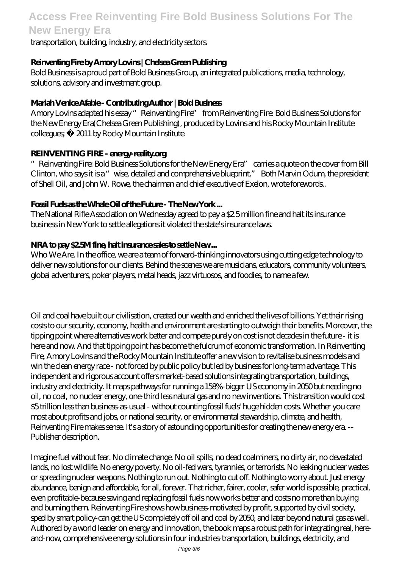transportation, building, industry, and electricity sectors.

### **Reinventing Fire by Amory Lovins | Chelsea Green Publishing**

Bold Business is a proud part of Bold Business Group, an integrated publications, media, technology, solutions, advisory and investment group.

### **Mariah Venice Afable - Contributing Author | Bold Business**

Amory Lovins adapted his essay "Reinventing Fire" from Reinventing Fire: Bold Business Solutions for the New Energy Era(Chelsea Green Publishing), produced by Lovins and his Rocky Mountain Institute colleagues; © 2011 by Rocky Mountain Institute.

#### **REINVENTING FIRE - energy-reality.org**

"Reinventing Fire: Bold Business Solutions for the New Energy Era" carries a quote on the cover from Bill Clinton, who says it is a "wise, detailed and comprehensive blueprint." Both Marvin Odum, the president of Shell Oil, and John W. Rowe, the chairman and chief executive of Exelon, wrote forewords..

#### **Fossil Fuels as the Whale Oil of the Future - The New York ...**

The National Rifle Association on Wednesday agreed to pay a \$2.5 million fine and halt its insurance business in New York to settle allegations it violated the state's insurance laws.

#### **NRA to pay \$2.5M fine, halt insurance sales to settle New ...**

Who We Are. In the office, we are a team of forward-thinking innovators using cutting edge technology to deliver new solutions for our clients. Behind the scenes we are musicians, educators, community volunteers, global adventurers, poker players, metal heads, jazz virtuosos, and foodies, to name a few.

Oil and coal have built our civilisation, created our wealth and enriched the lives of billions. Yet their rising costs to our security, economy, health and environment are starting to outweigh their benefits. Moreover, the tipping point where alternatives work better and compete purely on cost is not decades in the future - it is here and now. And that tipping point has become the fulcrum of economic transformation. In Reinventing Fire, Amory Lovins and the Rocky Mountain Institute offer a new vision to revitalise business models and win the clean energy race - not forced by public policy but led by business for long-term advantage. This independent and rigorous account offers market-based solutions integrating transportation, buildings, industry and electricity. It maps pathways for running a 158%-bigger US economy in 2050 but needing no oil, no coal, no nuclear energy, one-third less natural gas and no new inventions. This transition would cost \$5 trillion less than business-as-usual - without counting fossil fuels' huge hidden costs. Whether you care most about profits and jobs, or national security, or environmental stewardship, climate, and health, Reinventing Fire makes sense. It's a story of astounding opportunities for creating the new energy era. -- Publisher description.

Imagine fuel without fear. No climate change. No oil spills, no dead coalminers, no dirty air, no devastated lands, no lost wildlife. No energy poverty. No oil-fed wars, tyrannies, or terrorists. No leaking nuclear wastes or spreading nuclear weapons. Nothing to run out. Nothing to cut off. Nothing to worry about. Just energy abundance, benign and affordable, for all, forever. That richer, fairer, cooler, safer world is possible, practical, even profitable-because saving and replacing fossil fuels now works better and costs no more than buying and burning them. Reinventing Fire shows how business-motivated by profit, supported by civil society, sped by smart policy-can get the US completely off oil and coal by 2050, and later beyond natural gas as well. Authored by a world leader on energy and innovation, the book maps a robust path for integrating real, hereand-now, comprehensive energy solutions in four industries-transportation, buildings, electricity, and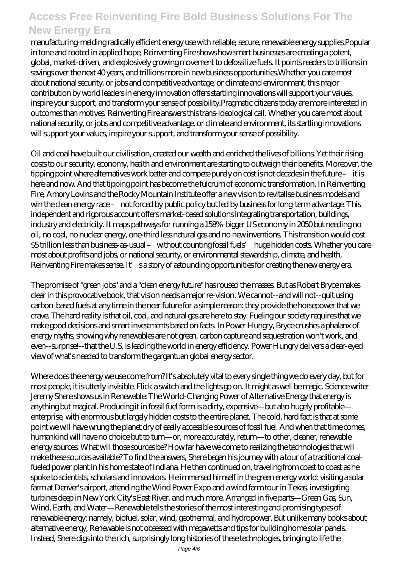manufacturing-melding radically efficient energy use with reliable, secure, renewable energy supplies.Popular in tone and rooted in applied hope, Reinventing Fire shows how smart businesses are creating a potent, global, market-driven, and explosively growing movement to defossilize fuels. It points readers to trillions in savings over the next 40 years, and trillions more in new business opportunities.Whether you care most about national security, or jobs and competitive advantage, or climate and environment, this major contribution by world leaders in energy innovation offers startling innovations will support your values, inspire your support, and transform your sense of possibility.Pragmatic citizens today are more interested in outcomes than motives. Reinventing Fire answers this trans-ideological call. Whether you care most about national security, or jobs and competitive advantage, or climate and environment, its startling innovations will support your values, inspire your support, and transform your sense of possibility.

Oil and coal have built our civilisation, created our wealth and enriched the lives of billions. Yet their rising costs to our security, economy, health and environment are starting to outweigh their benefits. Moreover, the tipping point where alternatives work better and compete purely on cost is not decades in the future – it is here and now. And that tipping point has become the fulcrum of economic transformation. In Reinventing Fire, Amory Lovins and the Rocky Mountain Institute offer a new vision to revitalise business models and win the clean energy race – not forced by public policy but led by business for long-term advantage. This independent and rigorous account offers market-based solutions integrating transportation, buildings, industry and electricity. It maps pathways for running a 158%-bigger US economy in 2050 but needing no oil, no coal, no nuclear energy, one-third less natural gas and no new inventions. This transition would cost \$5 trillion less than business-as-usual – without counting fossil fuels' huge hidden costs. Whether you care most about profits and jobs, or national security, or environmental stewardship, climate, and health, Reinventing Fire makes sense. It' sa story of astounding opportunities for creating the new energy era.

The promise of "green jobs" and a "clean energy future" has roused the masses. But as Robert Bryce makes clear in this provocative book, that vision needs a major re-vision. We cannot--and will not--quit using carbon-based fuels at any time in the near future for a simple reason: they provide the horsepower that we crave. The hard reality is that oil, coal, and natural gas are here to stay. Fueling our society requires that we make good decisions and smart investments based on facts. In Power Hungry, Bryce crushes a phalanx of energy myths, showing why renewables are not green, carbon capture and sequestration won't work, and even--surprise!--that the U.S. is leading the world in energy efficiency. Power Hungry delivers a clear-eyed view of what's needed to transform the gargantuan global energy sector.

Where does the energy we use come from? It's absolutely vital to every single thing we do every day, but for most people, it is utterly invisible. Flick a switch and the lights go on. It might as well be magic. Science writer Jeremy Shere shows us in Renewable: The World-Changing Power of Alternative Energy that energy is anything but magical. Producing it in fossil fuel form is a dirty, expensive—but also hugely profitable enterprise, with enormous but largely hidden costs to the entire planet. The cold, hard fact is that at some point we will have wrung the planet dry of easily accessible sources of fossil fuel. And when that time comes, humankind will have no choice but to turn—or, more accurately, return—to other, cleaner, renewable energy sources. What will those sources be? How far have we come to realizing the technologies that will make these sources available? To find the answers, Shere began his journey with a tour of a traditional coalfueled power plant in his home state of Indiana. He then continued on, traveling from coast to coast as he spoke to scientists, scholars and innovators. He immersed himself in the green energy world: visiting a solar farm at Denver's airport, attending the Wind Power Expo and a wind farm tour in Texas, investigating turbines deep in New York City's East River, and much more. Arranged in five parts—Green Gas, Sun, Wind, Earth, and Water—Renewable tells the stories of the most interesting and promising types of renewable energy: namely, biofuel, solar, wind, geothermal, and hydropower. But unlike many books about alternative energy, Renewable is not obsessed with megawatts and tips for building home solar panels. Instead, Shere digs into the rich, surprisingly long histories of these technologies, bringing to life the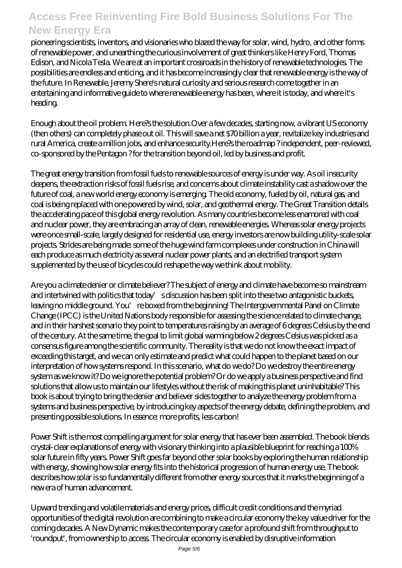pioneering scientists, inventors, and visionaries who blazed the way for solar, wind, hydro, and other forms of renewable power, and unearthing the curious involvement of great thinkers like Henry Ford, Thomas Edison, and Nicola Tesla. We are at an important crossroads in the history of renewable technologies. The possibilities are endless and enticing, and it has become increasingly clear that renewable energy is the way of the future. In Renewable, Jeremy Shere's natural curiosity and serious research come together in an entertaining and informative guide to where renewable energy has been, where it is today, and where it's heading.

Enough about the oil problem. Here?s the solution.Over a few decades, starting now, a vibrant US economy (then others) can completely phase out oil. This will save a net \$70 billion a year, revitalize key industries and rural America, create a million jobs, and enhance security.Here?s the roadmap ? independent, peer-reviewed, co-sponsored by the Pentagon ? for the transition beyond oil, led by business and profit.

The great energy transition from fossil fuels to renewable sources of energy is under way. As oil insecurity deepens, the extraction risks of fossil fuels rise, and concerns about climate instability cast a shadow over the future of coal, a new world energy economy is emerging. The old economy, fueled by oil, natural gas, and coal is being replaced with one powered by wind, solar, and geothermal energy. The Great Transition details the accelerating pace of this global energy revolution. As many countries become less enamored with coal and nuclear power, they are embracing an array of clean, renewable energies. Whereas solar energy projects were once small-scale, largely designed for residential use, energy investors are now building utility-scale solar projects. Strides are being made: some of the huge wind farm complexes under construction in China will each produce as much electricity as several nuclear power plants, and an electrified transport system supplemented by the use of bicycles could reshape the way we think about mobility.

Are you a climate denier or climate believer? The subject of energy and climate have become so mainstream and intertwined with politics that today's discussion has been split into these two antagonistic buckets, leaving no middle ground. You're boxed from the beginning! The Intergovernmental Panel on Climate Change (IPCC) is the United Nations body responsible for assessing the science related to climate change, and in their harshest scenario they point to temperatures raising by an average of 6 degrees Celsius by the end of the century. At the same time, the goal to limit global warming below 2 degrees Celsius was picked as a consensus figure among the scientific community. The reality is that we do not know the exact impact of exceeding this target, and we can only estimate and predict what could happen to the planet based on our interpretation of how systems respond. In this scenario, what do we do? Do we destroy the entire energy system as we know it? Do we ignore the potential problem? Or do we apply a business perspective and find solutions that allow us to maintain our lifestyles without the risk of making this planet uninhabitable? This book is about trying to bring the denier and believer sides together to analyze the energy problem from a systems and business perspective, by introducing key aspects of the energy debate, defining the problem, and presenting possible solutions. In essence: more profits, less carbon!

Power Shift is the most compelling argument for solar energy that has ever been assembled. The book blends crystal-clear explanations of energy with visionary thinking into a plausible blueprint for reaching a 100% solar future in fifty years. Power Shift goes far beyond other solar books by exploring the human relationship with energy, showing how solar energy fits into the historical progression of human energy use. The book describes how solar is so fundamentally different from other energy sources that it marks the beginning of a new era of human advancement.

Upward trending and volatile materials and energy prices, difficult credit conditions and the myriad opportunities of the digital revolution are combining to make a circular economy the key value driver for the coming decades. A New Dynamic makes the contemporary case for a profound shift from throughput to 'roundput', from ownership to access. The circular economy is enabled by disruptive information